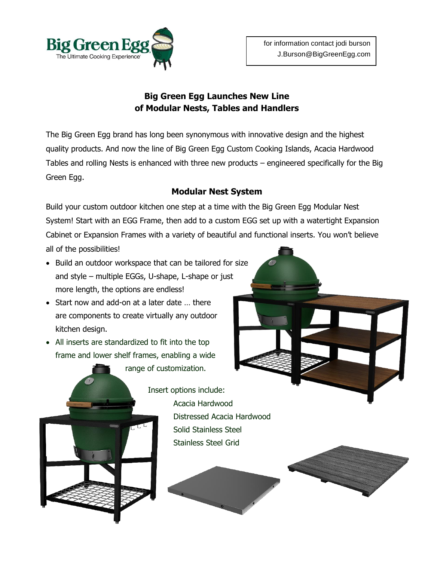

## **Big Green Egg Launches New Line of Modular Nests, Tables and Handlers**

The Big Green Egg brand has long been synonymous with innovative design and the highest quality products. And now the line of Big Green Egg Custom Cooking Islands, Acacia Hardwood Tables and rolling Nests is enhanced with three new products – engineered specifically for the Big Green Egg.

## **Modular Nest System**

Build your custom outdoor kitchen one step at a time with the Big Green Egg Modular Nest System! Start with an EGG Frame, then add to a custom EGG set up with a watertight Expansion Cabinet or Expansion Frames with a variety of beautiful and functional inserts. You won't believe

all of the possibilities!

- Build an outdoor workspace that can be tailored for size and style – multiple EGGs, U-shape, L-shape or just more length, the options are endless!
- Start now and add-on at a later date ... there are components to create virtually any outdoor kitchen design.
- All inserts are standardized to fit into the top frame and lower shelf frames, enabling a wide

range of customization.

Insert options include: Acacia Hardwood Distressed Acacia Hardwood Solid Stainless Steel Stainless Steel Grid